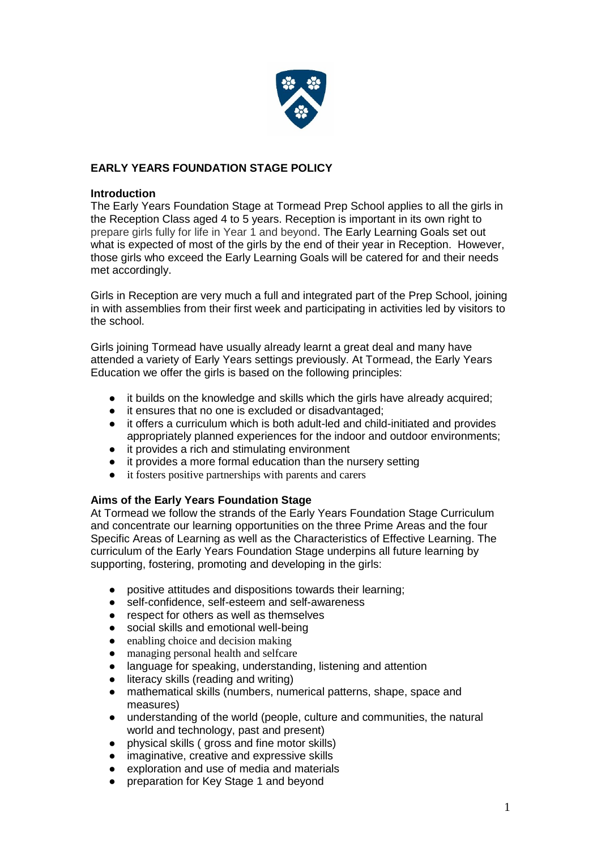

# **EARLY YEARS FOUNDATION STAGE POLICY**

### **Introduction**

The Early Years Foundation Stage at Tormead Prep School applies to all the girls in the Reception Class aged 4 to 5 years. Reception is important in its own right to prepare girls fully for life in Year 1 and beyond. The Early Learning Goals set out what is expected of most of the girls by the end of their year in Reception. However, those girls who exceed the Early Learning Goals will be catered for and their needs met accordingly.

Girls in Reception are very much a full and integrated part of the Prep School, joining in with assemblies from their first week and participating in activities led by visitors to the school.

Girls joining Tormead have usually already learnt a great deal and many have attended a variety of Early Years settings previously. At Tormead, the Early Years Education we offer the girls is based on the following principles:

- it builds on the knowledge and skills which the girls have already acquired;
- it ensures that no one is excluded or disadvantaged;
- it offers a curriculum which is both adult-led and child-initiated and provides appropriately planned experiences for the indoor and outdoor environments;
- it provides a rich and stimulating environment
- it provides a more formal education than the nursery setting
- it fosters positive partnerships with parents and carers

## **Aims of the Early Years Foundation Stage**

At Tormead we follow the strands of the Early Years Foundation Stage Curriculum and concentrate our learning opportunities on the three Prime Areas and the four Specific Areas of Learning as well as the Characteristics of Effective Learning. The curriculum of the Early Years Foundation Stage underpins all future learning by supporting, fostering, promoting and developing in the girls:

- positive attitudes and dispositions towards their learning;
- self-confidence, self-esteem and self-awareness
- respect for others as well as themselves
- social skills and emotional well-being<br>• enabling choice and decision making
- 
- enabling choice and decision making<br>• managing personal health and selfcare managing personal health and selfcare
- language for speaking, understanding, listening and attention
- literacy skills (reading and writing)
- mathematical skills (numbers, numerical patterns, shape, space and measures)
- understanding of the world (people, culture and communities, the natural world and technology, past and present)
- physical skills ( gross and fine motor skills)
- imaginative, creative and expressive skills
- exploration and use of media and materials
- preparation for Key Stage 1 and beyond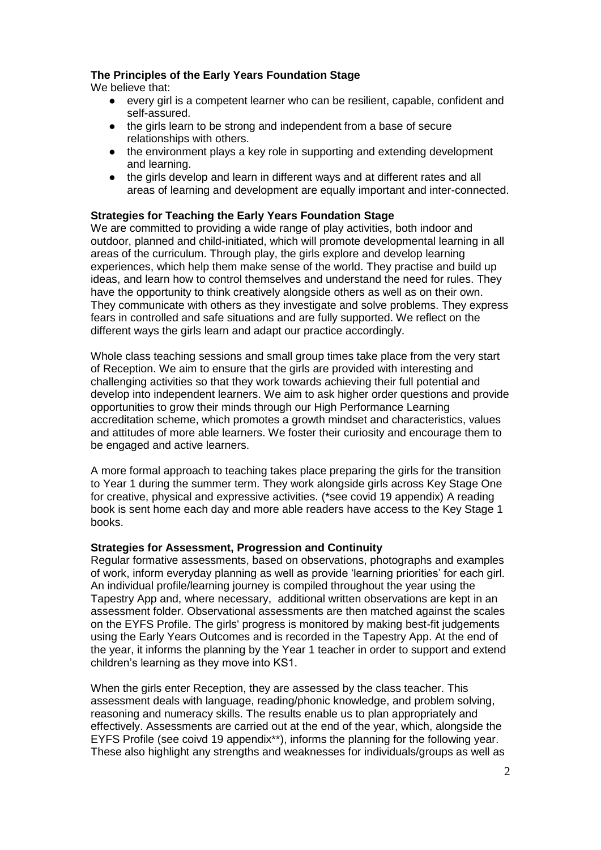## **The Principles of the Early Years Foundation Stage**

We believe that:

- every girl is a competent learner who can be resilient, capable, confident and self-assured.
- the girls learn to be strong and independent from a base of secure relationships with others.
- the environment plays a key role in supporting and extending development and learning.
- the girls develop and learn in different ways and at different rates and all areas of learning and development are equally important and inter-connected.

## **Strategies for Teaching the Early Years Foundation Stage**

We are committed to providing a wide range of play activities, both indoor and outdoor, planned and child-initiated, which will promote developmental learning in all areas of the curriculum. Through play, the girls explore and develop learning experiences, which help them make sense of the world. They practise and build up ideas, and learn how to control themselves and understand the need for rules. They have the opportunity to think creatively alongside others as well as on their own. They communicate with others as they investigate and solve problems. They express fears in controlled and safe situations and are fully supported. We reflect on the different ways the girls learn and adapt our practice accordingly.

Whole class teaching sessions and small group times take place from the very start of Reception. We aim to ensure that the girls are provided with interesting and challenging activities so that they work towards achieving their full potential and develop into independent learners. We aim to ask higher order questions and provide opportunities to grow their minds through our High Performance Learning accreditation scheme, which promotes a growth mindset and characteristics, values and attitudes of more able learners. We foster their curiosity and encourage them to be engaged and active learners.

A more formal approach to teaching takes place preparing the girls for the transition to Year 1 during the summer term. They work alongside girls across Key Stage One for creative, physical and expressive activities. (\*see covid 19 appendix) A reading book is sent home each day and more able readers have access to the Key Stage 1 books.

## **Strategies for Assessment, Progression and Continuity**

Regular formative assessments, based on observations, photographs and examples of work, inform everyday planning as well as provide 'learning priorities' for each girl. An individual profile/learning journey is compiled throughout the year using the Tapestry App and, where necessary, additional written observations are kept in an assessment folder. Observational assessments are then matched against the scales on the EYFS Profile. The girls' progress is monitored by making best-fit judgements using the Early Years Outcomes and is recorded in the Tapestry App. At the end of the year, it informs the planning by the Year 1 teacher in order to support and extend children's learning as they move into KS1.

When the girls enter Reception, they are assessed by the class teacher. This assessment deals with language, reading/phonic knowledge, and problem solving, reasoning and numeracy skills. The results enable us to plan appropriately and effectively. Assessments are carried out at the end of the year, which, alongside the EYFS Profile (see coivd 19 appendix\*\*), informs the planning for the following year. These also highlight any strengths and weaknesses for individuals/groups as well as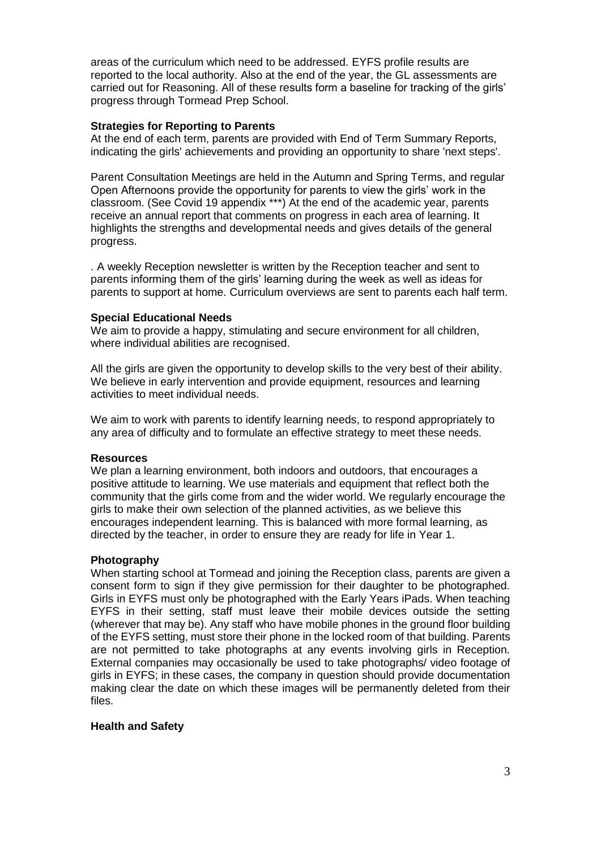areas of the curriculum which need to be addressed. EYFS profile results are reported to the local authority. Also at the end of the year, the GL assessments are carried out for Reasoning. All of these results form a baseline for tracking of the girls' progress through Tormead Prep School.

### **Strategies for Reporting to Parents**

At the end of each term, parents are provided with End of Term Summary Reports, indicating the girls' achievements and providing an opportunity to share 'next steps'.

Parent Consultation Meetings are held in the Autumn and Spring Terms, and regular Open Afternoons provide the opportunity for parents to view the girls' work in the classroom. (See Covid 19 appendix \*\*\*) At the end of the academic year, parents receive an annual report that comments on progress in each area of learning. It highlights the strengths and developmental needs and gives details of the general progress.

. A weekly Reception newsletter is written by the Reception teacher and sent to parents informing them of the girls' learning during the week as well as ideas for parents to support at home. Curriculum overviews are sent to parents each half term.

### **Special Educational Needs**

We aim to provide a happy, stimulating and secure environment for all children, where individual abilities are recognised.

All the girls are given the opportunity to develop skills to the very best of their ability. We believe in early intervention and provide equipment, resources and learning activities to meet individual needs.

We aim to work with parents to identify learning needs, to respond appropriately to any area of difficulty and to formulate an effective strategy to meet these needs.

### **Resources**

We plan a learning environment, both indoors and outdoors, that encourages a positive attitude to learning. We use materials and equipment that reflect both the community that the girls come from and the wider world. We regularly encourage the girls to make their own selection of the planned activities, as we believe this encourages independent learning. This is balanced with more formal learning, as directed by the teacher, in order to ensure they are ready for life in Year 1.

### **Photography**

When starting school at Tormead and joining the Reception class, parents are given a consent form to sign if they give permission for their daughter to be photographed. Girls in EYFS must only be photographed with the Early Years iPads. When teaching EYFS in their setting, staff must leave their mobile devices outside the setting (wherever that may be). Any staff who have mobile phones in the ground floor building of the EYFS setting, must store their phone in the locked room of that building. Parents are not permitted to take photographs at any events involving girls in Reception. External companies may occasionally be used to take photographs/ video footage of girls in EYFS; in these cases, the company in question should provide documentation making clear the date on which these images will be permanently deleted from their files.

### **Health and Safety**